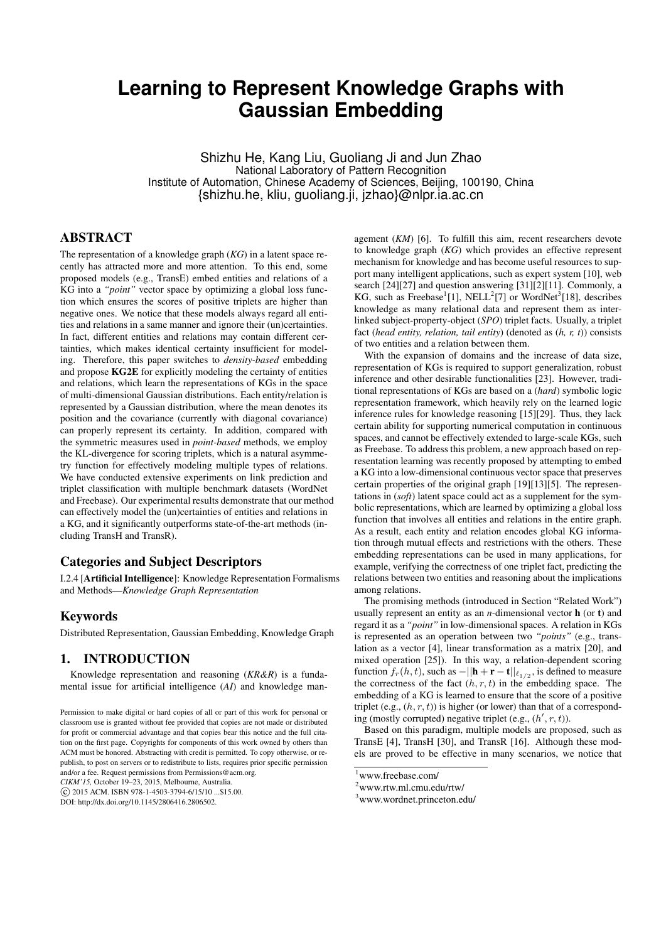# **Learning to Represent Knowledge Graphs with Gaussian Embedding**

Shizhu He, Kang Liu, Guoliang Ji and Jun Zhao National Laboratory of Pattern Recognition Institute of Automation, Chinese Academy of Sciences, Beijing, 100190, China {shizhu.he, kliu, guoliang.ji, jzhao}@nlpr.ia.ac.cn

## ABSTRACT

The representation of a knowledge graph (*KG*) in a latent space recently has attracted more and more attention. To this end, some proposed models (e.g., TransE) embed entities and relations of a KG into a *"point"* vector space by optimizing a global loss function which ensures the scores of positive triplets are higher than negative ones. We notice that these models always regard all entities and relations in a same manner and ignore their (un)certainties. In fact, different entities and relations may contain different certainties, which makes identical certainty insufficient for modeling. Therefore, this paper switches to *density-based* embedding and propose KG2E for explicitly modeling the certainty of entities and relations, which learn the representations of KGs in the space of multi-dimensional Gaussian distributions. Each entity/relation is represented by a Gaussian distribution, where the mean denotes its position and the covariance (currently with diagonal covariance) can properly represent its certainty. In addition, compared with the symmetric measures used in *point-based* methods, we employ the KL-divergence for scoring triplets, which is a natural asymmetry function for effectively modeling multiple types of relations. We have conducted extensive experiments on link prediction and triplet classification with multiple benchmark datasets (WordNet and Freebase). Our experimental results demonstrate that our method can effectively model the (un)certainties of entities and relations in a KG, and it significantly outperforms state-of-the-art methods (including TransH and TransR).

## Categories and Subject Descriptors

I.2.4 [Artificial Intelligence]: Knowledge Representation Formalisms and Methods—*Knowledge Graph Representation*

## Keywords

Distributed Representation, Gaussian Embedding, Knowledge Graph

## 1. INTRODUCTION

Knowledge representation and reasoning (*KR&R*) is a fundamental issue for artificial intelligence (*AI*) and knowledge man-

*CIKM'15,* October 19–23, 2015, Melbourne, Australia.

agement (*KM*) [6]. To fulfill this aim, recent researchers devote to knowledge graph (*KG*) which provides an effective represent mechanism for knowledge and has become useful resources to support many intelligent applications, such as expert system [10], web search [24][27] and question answering [31][2][11]. Commonly, a KG, such as Freebase<sup>1</sup>[1], NELL<sup>2</sup>[7] or WordNet<sup>3</sup>[18], describes knowledge as many relational data and represent them as interlinked subject-property-object (*SPO*) triplet facts. Usually, a triplet fact (*head entity, relation, tail entity*) (denoted as (*h, r, t*)) consists of two entities and a relation between them.

With the expansion of domains and the increase of data size, representation of KGs is required to support generalization, robust inference and other desirable functionalities [23]. However, traditional representations of KGs are based on a (*hard*) symbolic logic representation framework, which heavily rely on the learned logic inference rules for knowledge reasoning [15][29]. Thus, they lack certain ability for supporting numerical computation in continuous spaces, and cannot be effectively extended to large-scale KGs, such as Freebase. To address this problem, a new approach based on representation learning was recently proposed by attempting to embed a KG into a low-dimensional continuous vector space that preserves certain properties of the original graph [19][13][5]. The representations in (*soft*) latent space could act as a supplement for the symbolic representations, which are learned by optimizing a global loss function that involves all entities and relations in the entire graph. As a result, each entity and relation encodes global KG information through mutual effects and restrictions with the others. These embedding representations can be used in many applications, for example, verifying the correctness of one triplet fact, predicting the relations between two entities and reasoning about the implications among relations.

The promising methods (introduced in Section "Related Work") usually represent an entity as an *n*-dimensional vector h (or t) and regard it as a *"point"* in low-dimensional spaces. A relation in KGs is represented as an operation between two *"points"* (e.g., translation as a vector [4], linear transformation as a matrix [20], and mixed operation [25]). In this way, a relation-dependent scoring function  $f_r(h, t)$ , such as  $-||\mathbf{h} + \mathbf{r} - \mathbf{t}||_{\ell_{1/2}}$ , is defined to measure the correctness of the fact  $(h, r, t)$  in the embedding space. The embedding of a KG is learned to ensure that the score of a positive triplet (e.g.,  $(h, r, t)$ ) is higher (or lower) than that of a corresponding (mostly corrupted) negative triplet (e.g.,  $(h', r, t)$ ).

Based on this paradigm, multiple models are proposed, such as TransE [4], TransH [30], and TransR [16]. Although these models are proved to be effective in many scenarios, we notice that

Permission to make digital or hard copies of all or part of this work for personal or classroom use is granted without fee provided that copies are not made or distributed for profit or commercial advantage and that copies bear this notice and the full citation on the first page. Copyrights for components of this work owned by others than ACM must be honored. Abstracting with credit is permitted. To copy otherwise, or republish, to post on servers or to redistribute to lists, requires prior specific permission and/or a fee. Request permissions from Permissions@acm.org.

 $\overline{C}$  2015 ACM. ISBN 978-1-4503-3794-6/15/10 \$15.00

DOI: http://dx.doi.org/10.1145/2806416.2806502.

<sup>1</sup>www.freebase.com/

<sup>2</sup>www.rtw.ml.cmu.edu/rtw/

<sup>3</sup>www.wordnet.princeton.edu/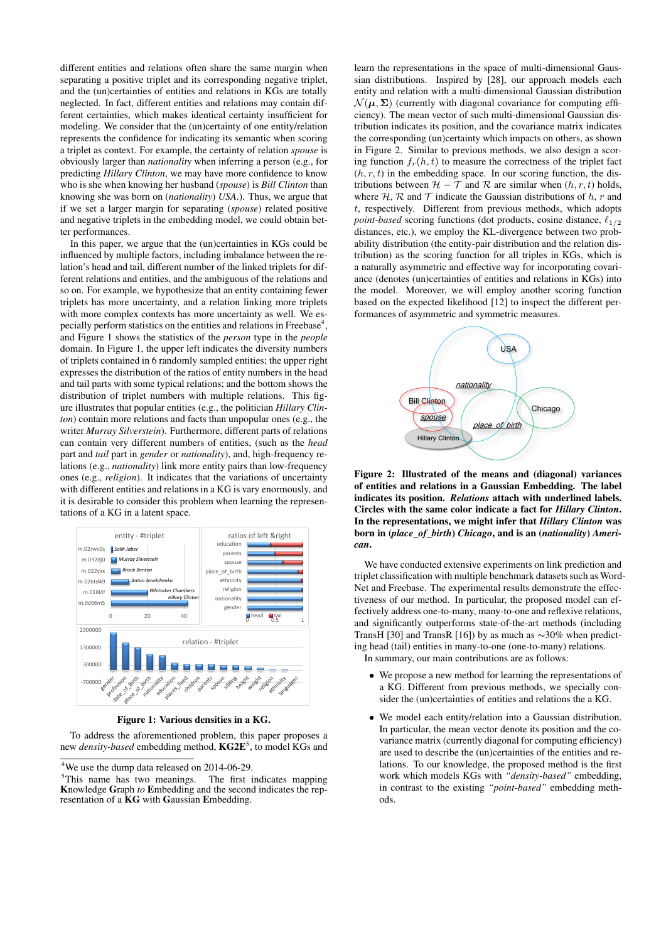different entities and relations often share the same margin when separating a positive triplet and its corresponding negative triplet, and the (un)certainties of entities and relations in KGs are totally neglected. In fact, different entities and relations may contain different certainties, which makes identical certainty insufficient for modeling. We consider that the (un)certainty of one entity/relation represents the confidence for indicating its semantic when scoring a triplet as context. For example, the certainty of relation *spouse* is obviously larger than *nationality* when inferring a person (e.g., for predicting *Hillary Clinton*, we may have more confidence to know who is she when knowing her husband (*spouse*) is *Bill Clinton* than knowing she was born on (*nationality*) *USA*.). Thus, we argue that if we set a larger margin for separating (*spouse*) related positive and negative triplets in the embedding model, we could obtain better performances.

In this paper, we argue that the (un)certainties in KGs could be influenced by multiple factors, including imbalance between the relation's head and tail, different number of the linked triplets for different relations and entities, and the ambiguous of the relations and so on. For example, we hypothesize that an entity containing fewer triplets has more uncertainty, and a relation linking more triplets with more complex contexts has more uncertainty as well. We especially perform statistics on the entities and relations in Freebase<sup>4</sup>, and Figure 1 shows the statistics of the *person* type in the *people* domain. In Figure 1, the upper left indicates the diversity numbers of triplets contained in 6 randomly sampled entities; the upper right expresses the distribution of the ratios of entity numbers in the head and tail parts with some typical relations; and the bottom shows the distribution of triplet numbers with multiple relations. This figure illustrates that popular entities (e.g., the politician *Hillary Clinton*) contain more relations and facts than unpopular ones (e.g., the writer *Murray Silverstein*). Furthermore, different parts of relations can contain very different numbers of entities, (such as the *head* part and *tail* part in *gender* or *nationality*), and, high-frequency relations (e.g., *nationality*) link more entity pairs than low-frequency ones (e.g., *religion*). It indicates that the variations of uncertainty with different entities and relations in a KG is vary enormously, and it is desirable to consider this problem when learning the representations of a KG in a latent space.



Figure 1: Various densities in a KG.

To address the aforementioned problem, this paper proposes a new *density-based* embedding method,  $\mathbf{KG2E}^5$ , to model KGs and

learn the representations in the space of multi-dimensional Gaussian distributions. Inspired by [28], our approach models each entity and relation with a multi-dimensional Gaussian distribution  $\mathcal{N}(\mu, \Sigma)$  (currently with diagonal covariance for computing efficiency). The mean vector of such multi-dimensional Gaussian distribution indicates its position, and the covariance matrix indicates the corresponding (un)certainty which impacts on others, as shown in Figure 2. Similar to previous methods, we also design a scoring function  $f_r(h, t)$  to measure the correctness of the triplet fact  $(h, r, t)$  in the embedding space. In our scoring function, the distributions between  $\mathcal{H} - \mathcal{T}$  and  $\mathcal{R}$  are similar when  $(h, r, t)$  holds, where  $H$ ,  $R$  and  $T$  indicate the Gaussian distributions of h, r and t, respectively. Different from previous methods, which adopts *point-based* scoring functions (dot products, cosine distance,  $\ell_{1/2}$ ) distances, etc.), we employ the KL-divergence between two probability distribution (the entity-pair distribution and the relation distribution) as the scoring function for all triples in KGs, which is a naturally asymmetric and effective way for incorporating covariance (denotes (un)certainties of entities and relations in KGs) into the model. Moreover, we will employ another scoring function based on the expected likelihood [12] to inspect the different performances of asymmetric and symmetric measures.



Figure 2: Illustrated of the means and (diagonal) variances of entities and relations in a Gaussian Embedding. The label indicates its position. *Relations* attach with underlined labels. Circles with the same color indicate a fact for *Hillary Clinton*. In the representations, we might infer that *Hillary Clinton* was born in (*place\_of\_birth*) *Chicago*, and is an (*nationality*) *American*.

We have conducted extensive experiments on link prediction and triplet classification with multiple benchmark datasets such as Word-Net and Freebase. The experimental results demonstrate the effectiveness of our method. In particular, the proposed model can effectively address one-to-many, many-to-one and reflexive relations, and significantly outperforms state-of-the-art methods (including TransH [30] and TransR [16]) by as much as ∼30% when predicting head (tail) entities in many-to-one (one-to-many) relations.

In summary, our main contributions are as follows:

- We propose a new method for learning the representations of a KG. Different from previous methods, we specially consider the (un)certainties of entities and relations the a KG.
- We model each entity/relation into a Gaussian distribution. In particular, the mean vector denote its position and the covariance matrix (currently diagonal for computing efficiency) are used to describe the (un)certainties of the entities and relations. To our knowledge, the proposed method is the first work which models KGs with *"density-based"* embedding, in contrast to the existing *"point-based"* embedding methods.

<sup>&</sup>lt;sup>4</sup>We use the dump data released on 2014-06-29.

<sup>&</sup>lt;sup>5</sup>This name has two meanings. The first indicates mapping Knowledge Graph *to* Embedding and the second indicates the representation of a KG with Gaussian Embedding.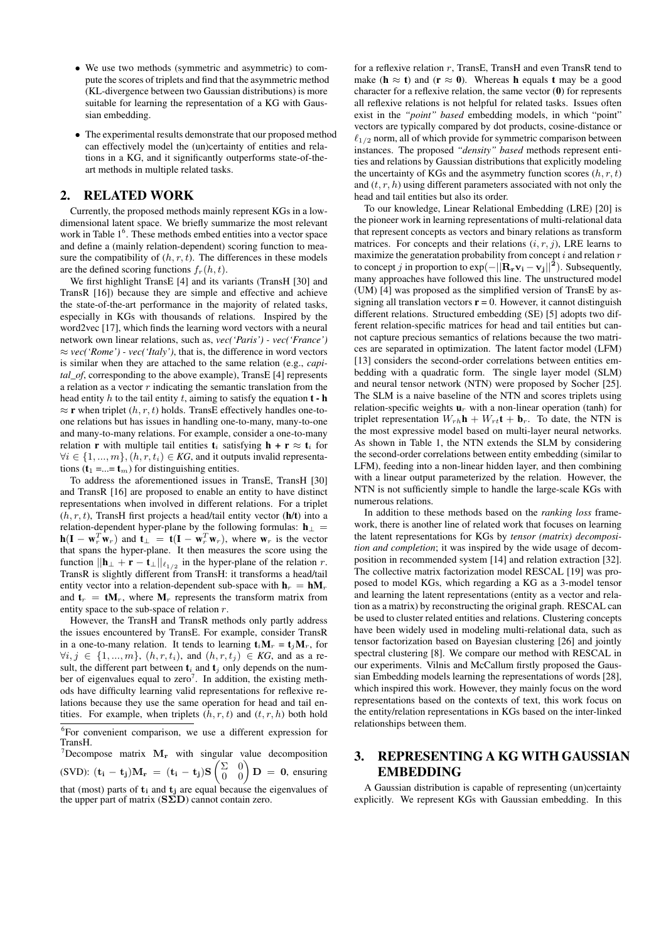- We use two methods (symmetric and asymmetric) to compute the scores of triplets and find that the asymmetric method (KL-divergence between two Gaussian distributions) is more suitable for learning the representation of a KG with Gaussian embedding.
- The experimental results demonstrate that our proposed method can effectively model the (un)certainty of entities and relations in a KG, and it significantly outperforms state-of-theart methods in multiple related tasks.

## 2. RELATED WORK

Currently, the proposed methods mainly represent KGs in a lowdimensional latent space. We briefly summarize the most relevant work in Table  $1<sup>6</sup>$ . These methods embed entities into a vector space and define a (mainly relation-dependent) scoring function to measure the compatibility of  $(h, r, t)$ . The differences in these models are the defined scoring functions  $f_r(h, t)$ .

We first highlight TransE [4] and its variants (TransH [30] and TransR [16]) because they are simple and effective and achieve the state-of-the-art performance in the majority of related tasks, especially in KGs with thousands of relations. Inspired by the word2vec [17], which finds the learning word vectors with a neural network own linear relations, such as, *vec('Paris') - vec('France')*  $\approx$  *vec('Rome')* - *vec('Italy')*, that is, the difference in word vectors is similar when they are attached to the same relation (e.g., *capital\_of*, corresponding to the above example), TransE [4] represents a relation as a vector  $r$  indicating the semantic translation from the head entity h to the tail entity t, aiming to satisfy the equation  $t - h$  $\approx$  **r** when triplet  $(h, r, t)$  holds. TransE effectively handles one-toone relations but has issues in handling one-to-many, many-to-one and many-to-many relations. For example, consider a one-to-many relation **r** with multiple tail entities  $t_i$  satisfying  $h + r \approx t_i$  for  $\forall i \in \{1, ..., m\}, (h, r, t_i) \in KG$ , and it outputs invalid representations ( $t_1$  =...=  $t_m$ ) for distinguishing entities.

To address the aforementioned issues in TransE, TransH [30] and TransR [16] are proposed to enable an entity to have distinct representations when involved in different relations. For a triplet  $(h, r, t)$ , TransH first projects a head/tail entity vector (h/t) into a relation-dependent hyper-plane by the following formulas:  $h_{\perp}$  =  $h(I - w_r^T w_r)$  and  $t_{\perp} = t(I - w_r^T w_r)$ , where  $w_r$  is the vector that spans the hyper-plane. It then measures the score using the function  $\|\mathbf{h}_{\perp} + \mathbf{r} - \mathbf{t}_{\perp}\|_{\ell_{1/2}}$  in the hyper-plane of the relation r. TransR is slightly different from TransH: it transforms a head/tail entity vector into a relation-dependent sub-space with  $h_r = hM_r$ and  $t_r = tM_r$ , where  $M_r$  represents the transform matrix from entity space to the sub-space of relation  $r$ .

However, the TransH and TransR methods only partly address the issues encountered by TransE. For example, consider TransR in a one-to-many relation. It tends to learning  $t_i \mathbf{M}_r = t_i \mathbf{M}_r$ , for  $\forall i, j \in \{1, ..., m\}, (h, r, t_i)$ , and  $(h, r, t_j) \in KG$ , and as a result, the different part between  $t_i$  and  $t_j$  only depends on the number of eigenvalues equal to zero<sup>7</sup>. In addition, the existing methods have difficulty learning valid representations for reflexive relations because they use the same operation for head and tail entities. For example, when triplets  $(h, r, t)$  and  $(t, r, h)$  both hold

<sup>7</sup>Decompose matrix  $M_r$  with singular value decomposition (SVD):  $(\mathbf{t_i} - \mathbf{t_j})\mathbf{M_r} = (\mathbf{t_i} - \mathbf{t_j})\mathbf{S} \begin{pmatrix} \Sigma & 0 \\ 0 & 0 \end{pmatrix} \mathbf{D} = \mathbf{0}$ , ensuring that (most) parts of  $t_i$  and  $t_j$  are equal because the eigenvalues of the upper part of matrix  $(S\Sigma D)$  cannot contain zero.

for a reflexive relation r, TransE, TransH and even TransR tend to make ( $h \approx t$ ) and ( $r \approx 0$ ). Whereas h equals t may be a good character for a reflexive relation, the same vector  $(0)$  for represents all reflexive relations is not helpful for related tasks. Issues often exist in the *"point" based* embedding models, in which "point" vectors are typically compared by dot products, cosine-distance or  $\ell_{1/2}$  norm, all of which provide for symmetric comparison between instances. The proposed *"density" based* methods represent entities and relations by Gaussian distributions that explicitly modeling the uncertainty of KGs and the asymmetry function scores  $(h, r, t)$ and  $(t, r, h)$  using different parameters associated with not only the head and tail entities but also its order.

To our knowledge, Linear Relational Embedding (LRE) [20] is the pioneer work in learning representations of multi-relational data that represent concepts as vectors and binary relations as transform matrices. For concepts and their relations  $(i, r, j)$ , LRE learns to maximize the generatation probability from concept  $i$  and relation  $r$ to concept j in proportion to  $exp(-||{\bf R}_{\bf r}{\bf v_i}-{\bf v_j}||^2)$ . Subsequently, many approaches have followed this line. The unstructured model (UM) [4] was proposed as the simplified version of TransE by assigning all translation vectors  $\mathbf{r} = 0$ . However, it cannot distinguish different relations. Structured embedding (SE) [5] adopts two different relation-specific matrices for head and tail entities but cannot capture precious semantics of relations because the two matrices are separated in optimization. The latent factor model (LFM) [13] considers the second-order correlations between entities embedding with a quadratic form. The single layer model (SLM) and neural tensor network (NTN) were proposed by Socher [25]. The SLM is a naive baseline of the NTN and scores triplets using relation-specific weights  $\mathbf{u}_r$  with a non-linear operation (tanh) for triplet representation  $W_{rh}$ **h** +  $W_{rt}$ **t** + **b**<sub>r</sub>. To date, the NTN is the most expressive model based on multi-layer neural networks. As shown in Table 1, the NTN extends the SLM by considering the second-order correlations between entity embedding (similar to LFM), feeding into a non-linear hidden layer, and then combining with a linear output parameterized by the relation. However, the NTN is not sufficiently simple to handle the large-scale KGs with numerous relations.

In addition to these methods based on the *ranking loss* framework, there is another line of related work that focuses on learning the latent representations for KGs by *tensor (matrix) decomposition and completion*; it was inspired by the wide usage of decomposition in recommended system [14] and relation extraction [32]. The collective matrix factorization model RESCAL [19] was proposed to model KGs, which regarding a KG as a 3-model tensor and learning the latent representations (entity as a vector and relation as a matrix) by reconstructing the original graph. RESCAL can be used to cluster related entities and relations. Clustering concepts have been widely used in modeling multi-relational data, such as tensor factorization based on Bayesian clustering [26] and jointly spectral clustering [8]. We compare our method with RESCAL in our experiments. Vilnis and McCallum firstly proposed the Gaussian Embedding models learning the representations of words [28], which inspired this work. However, they mainly focus on the word representations based on the contexts of text, this work focus on the entity/relation representations in KGs based on the inter-linked relationships between them.

## 3. REPRESENTING A KG WITH GAUSSIAN EMBEDDING

A Gaussian distribution is capable of representing (un)certainty explicitly. We represent KGs with Gaussian embedding. In this

<sup>&</sup>lt;sup>6</sup>For convenient comparison, we use a different expression for TransH.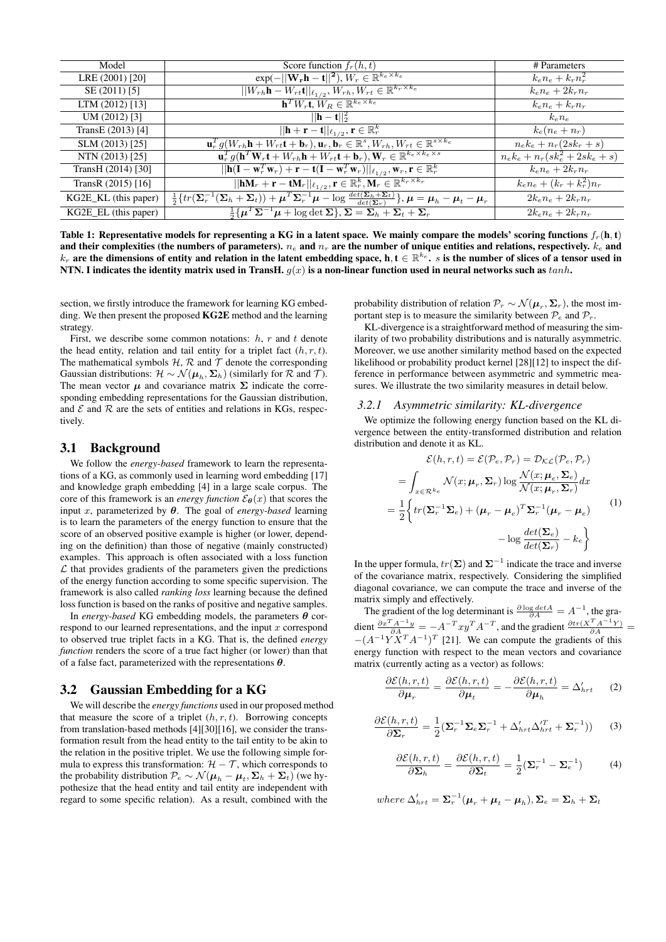| Model                | Score function $f_r(h,t)$                                                                                                                                                                        | # Parameters                            |
|----------------------|--------------------------------------------------------------------------------------------------------------------------------------------------------------------------------------------------|-----------------------------------------|
| LRE (2001) [20]      | $\exp(-  \mathbf{W_r} \mathbf{h} - \mathbf{t}  ^2), W_r \in \mathbb{R}^{k_e \times k_e}$                                                                                                         | $k_{e}n_{e}+k_{r}n_{r}^{2}$             |
| SE (2011) [5]        | $  W_{rh}\mathbf{h}-W_{rt}\mathbf{t}  _{\ell_{1/2}}, W_{rh}, W_{rt}\in\mathbb{R}^{k_r\times k_e}$                                                                                                | $k_e n_e + 2k_r n_r$                    |
| LTM (2012) [13]      | $\mathbf{h}^T W_r \mathbf{t}, W_R \in \mathbb{R}^{k_e \times k_e}$                                                                                                                               | $k_e n_e + k_r n_r$                     |
| UM(2012) [3]         | $  \mathbf{h} - \mathbf{t}  _2^2$                                                                                                                                                                | $k_e n_e$                               |
| TransE (2013) [4]    | $  \mathbf{h}+\mathbf{r}-\mathbf{t}  _{\ell_{1/2}}, \mathbf{r} \in \mathbb{R}_r^k$                                                                                                               | $k_e(n_e+n_r)$                          |
| SLM (2013) [25]      | $\mathbf{u}_r^T g(W_{rh}\mathbf{h} + W_{rt}\mathbf{t} + \mathbf{b}_r), \mathbf{u}_r, \overline{\mathbf{b}_r \in \mathbb{R}^s, W_{rh}, W_{rt} \in \mathbb{R}^{s \times k_e}}$                     | $n_e k_e + n_r (2sk_r + s)$             |
| NTN (2013) [25]      | $\mathbf{u}_{r}^{T} g(\mathbf{h}^{T} \overline{\mathbf{W}_{r} \mathbf{t} + W_{rh} \mathbf{h} + W_{rt} \mathbf{t} + \mathbf{b}_{r}), \mathbf{W}_{r} \in \mathbb{R}^{k_{e} \times k_{e} \times s}$ | $n_e k_e + n_r (s k_e^2 + 2 s k_e + s)$ |
| TransH (2014) [30]   | $  \mathbf{h}(\mathbf{I}-\mathbf{w}_r^T\mathbf{w}_r)+\mathbf{r}-\mathbf{t}(\mathbf{I}-\mathbf{w}_r^T\mathbf{w}_r)  _{\ell_{1/2}}, \mathbf{w}_r, \mathbf{r} \in \mathbb{R}_r^k$                   | $k_{e}n_{e}+2k_{r}n_{r}$                |
| TransR $(2015)$ [16] | $  \mathbf{h}\mathbf{M}_r+\mathbf{r}-\mathbf{t}\overline{\mathbf{M}_r}  _{\ell_{1/2}}, \mathbf{r}\in \mathbb{R}_r^k, \overline{\mathbf{M}_r}\in \mathbb{R}^{k_r\times k_r}$                      | $k_{e}n_{e}+(k_{r}+k_{r}^{2})n_{r}$     |
| KG2E_KL (this paper) | $\frac{1}{2}\left\{tr(\Sigma_r^{-1}(\Sigma_h+\Sigma_t))+\mu^T\Sigma_r^{-1}\mu-\log\frac{\det(\Sigma_h+\Sigma_t)}{\det(\Sigma_r)}\right\},\mu=\mu_h-\mu_t-\mu_r$                                  | $2k_e n_e + 2k_r n_r$                   |
| KG2E_EL (this paper) | $\frac{1}{2}\{\mu^T\Sigma^{-1}\mu + \log \det \Sigma\}, \Sigma = \Sigma_h + \Sigma_t + \Sigma_r$                                                                                                 | $2k_e n_e + 2k_r n_r$                   |

Table 1: Representative models for representing a KG in a latent space. We mainly compare the models' scoring functions  $f_r(\mathbf{h}, \mathbf{t})$ and their complexities (the numbers of parameters).  $n_e$  and  $n_r$  are the number of unique entities and relations, respectively.  $k_e$  and  $k_r$  are the dimensions of entity and relation in the latent embedding space, h, t  $\in \mathbb{R}^{k_e}$ .  $s$  is the number of slices of a tensor used in NTN. I indicates the identity matrix used in TransH.  $g(x)$  is a non-linear function used in neural networks such as  $tanh$ .

section, we firstly introduce the framework for learning KG embedding. We then present the proposed KG2E method and the learning strategy.

First, we describe some common notations:  $h, r$  and t denote the head entity, relation and tail entity for a triplet fact  $(h, r, t)$ . The mathematical symbols  $H$ ,  $R$  and  $T$  denote the corresponding Gaussian distributions:  $\mathcal{H} \sim \mathcal{N}(\mu_h, \Sigma_h)$  (similarly for  $\mathcal R$  and  $\mathcal T$ ). The mean vector  $\mu$  and covariance matrix  $\Sigma$  indicate the corresponding embedding representations for the Gaussian distribution, and  $\mathcal E$  and  $\mathcal R$  are the sets of entities and relations in KGs, respectively.

### 3.1 Background

We follow the *energy-based* framework to learn the representations of a KG, as commonly used in learning word embedding [17] and knowledge graph embedding [4] in a large scale corpus. The core of this framework is an *energy function*  $\mathcal{E}_{\theta}(x)$  that scores the input x, parameterized by  $\theta$ . The goal of *energy-based* learning is to learn the parameters of the energy function to ensure that the score of an observed positive example is higher (or lower, depending on the definition) than those of negative (mainly constructed) examples. This approach is often associated with a loss function  $\mathcal L$  that provides gradients of the parameters given the predictions of the energy function according to some specific supervision. The framework is also called *ranking loss* learning because the defined loss function is based on the ranks of positive and negative samples.

In *energy-based* KG embedding models, the parameters  $\theta$  correspond to our learned representations, and the input  $x$  correspond to observed true triplet facts in a KG. That is, the defined *energy function* renders the score of a true fact higher (or lower) than that of a false fact, parameterized with the representations  $\theta$ .

### 3.2 Gaussian Embedding for a KG

We will describe the *energy functions* used in our proposed method that measure the score of a triplet  $(h, r, t)$ . Borrowing concepts from translation-based methods [4][30][16], we consider the transformation result from the head entity to the tail entity to be akin to the relation in the positive triplet. We use the following simple formula to express this transformation:  $H - T$ , which corresponds to the probability distribution  $\mathcal{P}_e \sim \mathcal{N}(\boldsymbol{\mu}_h-\boldsymbol{\mu}_t, \boldsymbol{\Sigma}_h+\boldsymbol{\Sigma}_t)$  (we hypothesize that the head entity and tail entity are independent with regard to some specific relation). As a result, combined with the

probability distribution of relation  $\mathcal{P}_r \sim \mathcal{N}(\boldsymbol{\mu}_r, \boldsymbol{\Sigma}_r)$ , the most important step is to measure the similarity between  $\mathcal{P}_e$  and  $\mathcal{P}_r$ .

KL-divergence is a straightforward method of measuring the similarity of two probability distributions and is naturally asymmetric. Moreover, we use another similarity method based on the expected likelihood or probability product kernel [28][12] to inspect the difference in performance between asymmetric and symmetric measures. We illustrate the two similarity measures in detail below.

#### *3.2.1 Asymmetric similarity: KL-divergence*

We optimize the following energy function based on the KL divergence between the entity-transformed distribution and relation distribution and denote it as KL.

$$
\mathcal{E}(h,r,t) = \mathcal{E}(\mathcal{P}_e, \mathcal{P}_r) = \mathcal{D}_{\mathcal{KL}}(\mathcal{P}_e, \mathcal{P}_r)
$$
  
\n
$$
= \int_{x \in \mathcal{R}^{k_e}} \mathcal{N}(x; \boldsymbol{\mu}_r, \boldsymbol{\Sigma}_r) \log \frac{\mathcal{N}(x; \boldsymbol{\mu}_e, \boldsymbol{\Sigma}_e)}{\mathcal{N}(x; \boldsymbol{\mu}_r, \boldsymbol{\Sigma}_r)} dx
$$
  
\n
$$
= \frac{1}{2} \Biggl\{ tr(\boldsymbol{\Sigma}_r^{-1} \boldsymbol{\Sigma}_e) + (\boldsymbol{\mu}_r - \boldsymbol{\mu}_e)^T \boldsymbol{\Sigma}_r^{-1} (\boldsymbol{\mu}_r - \boldsymbol{\mu}_e) \Biggr\}
$$
  
\n
$$
- \log \frac{det(\boldsymbol{\Sigma}_e)}{det(\boldsymbol{\Sigma}_r)} - k_e \Biggr\}
$$
  
\n(1)

In the upper formula,  $tr(\Sigma)$  and  $\Sigma^{-1}$  indicate the trace and inverse of the covariance matrix, respectively. Considering the simplified diagonal covariance, we can compute the trace and inverse of the matrix simply and effectively.

The gradient of the log determinant is  $\frac{\partial \log \det A}{\partial A} = A^{-1}$ , the gradient  $\frac{\partial x^T A^{-1} y}{\partial A} = -A^{-T} x y^T A^{-T}$ , and the gradient  $\frac{\partial tr(X^T A^{-1} Y)}{\partial A} =$  $-(A^{-1}YX^{T}A^{-1})^{T}$  [21]. We can compute the gradients of this energy function with respect to the mean vectors and covariance matrix (currently acting as a vector) as follows:

$$
\frac{\partial \mathcal{E}(h,r,t)}{\partial \mu_r} = \frac{\partial \mathcal{E}(h,r,t)}{\partial \mu_t} = -\frac{\partial \mathcal{E}(h,r,t)}{\partial \mu_h} = \Delta'_{hrt} \qquad (2)
$$

$$
\frac{\partial \mathcal{E}(h,r,t)}{\partial \mathbf{\Sigma}_r} = \frac{1}{2} (\mathbf{\Sigma}_r^{-1} \mathbf{\Sigma}_e \mathbf{\Sigma}_r^{-1} + \Delta_{hrt}' \Delta_{hrt}'^T + \mathbf{\Sigma}_r^{-1})) \tag{3}
$$

$$
\frac{\partial \mathcal{E}(h,r,t)}{\partial \mathbf{\Sigma}_h} = \frac{\partial \mathcal{E}(h,r,t)}{\partial \mathbf{\Sigma}_t} = \frac{1}{2} (\mathbf{\Sigma}_r^{-1} - \mathbf{\Sigma}_e^{-1}) \tag{4}
$$

where  $\Delta_{hrt}' = \Sigma_r^{-1}(\mu_r + \mu_t - \mu_h), \Sigma_e = \Sigma_h + \Sigma_t$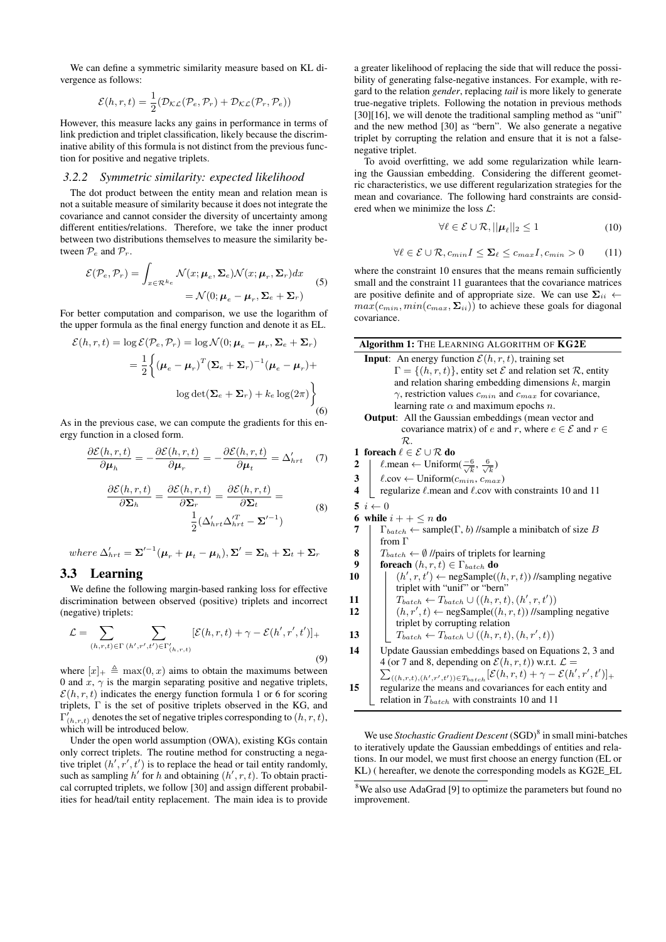We can define a symmetric similarity measure based on KL divergence as follows:

$$
\mathcal{E}(h,r,t) = \frac{1}{2}(\mathcal{D}_{\mathcal{KL}}(\mathcal{P}_e, \mathcal{P}_r) + \mathcal{D}_{\mathcal{KL}}(\mathcal{P}_r, \mathcal{P}_e))
$$

However, this measure lacks any gains in performance in terms of link prediction and triplet classification, likely because the discriminative ability of this formula is not distinct from the previous function for positive and negative triplets.

#### *3.2.2 Symmetric similarity: expected likelihood*

The dot product between the entity mean and relation mean is not a suitable measure of similarity because it does not integrate the covariance and cannot consider the diversity of uncertainty among different entities/relations. Therefore, we take the inner product between two distributions themselves to measure the similarity between  $\mathcal{P}_e$  and  $\mathcal{P}_r$ .

$$
\mathcal{E}(\mathcal{P}_e, \mathcal{P}_r) = \int_{x \in \mathcal{R}^{ke}} \mathcal{N}(x; \mu_e, \Sigma_e) \mathcal{N}(x; \mu_r, \Sigma_r) dx
$$
  
=  $\mathcal{N}(0; \mu_e - \mu_r, \Sigma_e + \Sigma_r)$  (5)

For better computation and comparison, we use the logarithm of the upper formula as the final energy function and denote it as EL.

$$
\mathcal{E}(h, r, t) = \log \mathcal{E}(\mathcal{P}_e, \mathcal{P}_r) = \log \mathcal{N}(0; \mu_e - \mu_r, \Sigma_e + \Sigma_r)
$$
  
= 
$$
\frac{1}{2} \Big\{ (\mu_e - \mu_r)^T (\Sigma_e + \Sigma_r)^{-1} (\mu_e - \mu_r) + \log \det (\Sigma_e + \Sigma_r) + k_e \log(2\pi) \Big\}
$$
  
(6)

As in the previous case, we can compute the gradients for this energy function in a closed form.

$$
\frac{\partial \mathcal{E}(h,r,t)}{\partial \mu_h} = -\frac{\partial \mathcal{E}(h,r,t)}{\partial \mu_r} = -\frac{\partial \mathcal{E}(h,r,t)}{\partial \mu_t} = \Delta'_{hrt} \quad (7)
$$

$$
\frac{\partial \mathcal{E}(h,r,t)}{\partial \mathbf{\Sigma}_h} = \frac{\partial \mathcal{E}(h,r,t)}{\partial \mathbf{\Sigma}_r} = \frac{\partial \mathcal{E}(h,r,t)}{\partial \mathbf{\Sigma}_t} = \frac{1}{2} (\Delta_{hrt}' \Delta_{hrt}' - \mathbf{\Sigma}'^{-1})
$$
(8)

where  $\Delta'_{hrt} = \Sigma'^{-1}(\mu_r + \mu_t - \mu_h), \Sigma' = \Sigma_h + \Sigma_t + \Sigma_r$ 

#### 3.3 Learning

We define the following margin-based ranking loss for effective discrimination between observed (positive) triplets and incorrect (negative) triplets:

$$
\mathcal{L} = \sum_{(h,r,t)\in\Gamma} \sum_{(h',r',t')\in\Gamma'_{(h,r,t)}} [\mathcal{E}(h,r,t) + \gamma - \mathcal{E}(h',r',t')]_+
$$
\n(9)

where  $[x]_+ \triangleq \max(0, x)$  aims to obtain the maximums between 0 and  $x, \gamma$  is the margin separating positive and negative triplets,  $\mathcal{E}(h, r, t)$  indicates the energy function formula 1 or 6 for scoring triplets, Γ is the set of positive triplets observed in the KG, and  $\Gamma^{'}_{(h,r,t)}$  denotes the set of negative triples corresponding to  $(h,r,t)$ , which will be introduced below.

Under the open world assumption (OWA), existing KGs contain only correct triplets. The routine method for constructing a negative triplet  $(h', r', t')$  is to replace the head or tail entity randomly, such as sampling  $h'$  for h and obtaining  $(h', r, t)$ . To obtain practical corrupted triplets, we follow [30] and assign different probabilities for head/tail entity replacement. The main idea is to provide

a greater likelihood of replacing the side that will reduce the possibility of generating false-negative instances. For example, with regard to the relation *gender*, replacing *tail* is more likely to generate true-negative triplets. Following the notation in previous methods [30][16], we will denote the traditional sampling method as "unif" and the new method [30] as "bern". We also generate a negative triplet by corrupting the relation and ensure that it is not a falsenegative triplet.

To avoid overfitting, we add some regularization while learning the Gaussian embedding. Considering the different geometric characteristics, we use different regularization strategies for the mean and covariance. The following hard constraints are considered when we minimize the loss L:

$$
\forall \ell \in \mathcal{E} \cup \mathcal{R}, ||\boldsymbol{\mu}_{\ell}||_2 \le 1 \tag{10}
$$

$$
\forall \ell \in \mathcal{E} \cup \mathcal{R}, c_{min} I \le \Sigma_{\ell} \le c_{max} I, c_{min} > 0 \qquad (11)
$$

where the constraint 10 ensures that the means remain sufficiently small and the constraint 11 guarantees that the covariance matrices are positive definite and of appropriate size. We can use  $\Sigma_{ii}$   $\leftarrow$  $max(c_{min}, min(c_{max}, \Sigma_{ii}))$  to achieve these goals for diagonal covariance.

|                         | <b>Algorithm 1:</b> THE LEARNING ALGORITHM OF <b>KG2E</b>                                       |
|-------------------------|-------------------------------------------------------------------------------------------------|
|                         | <b>Input</b> : An energy function $\mathcal{E}(h, r, t)$ , training set                         |
|                         | $\Gamma = \{(h, r, t)\}\$ , entity set $\mathcal E$ and relation set $\mathcal R$ , entity      |
|                         | and relation sharing embedding dimensions $k$ , margin                                          |
|                         | $\gamma$ , restriction values $c_{min}$ and $c_{max}$ for covariance,                           |
|                         | learning rate $\alpha$ and maximum epochs n.                                                    |
|                         | <b>Output:</b> All the Gaussian embeddings (mean vector and                                     |
|                         | covariance matrix) of e and r, where $e \in \mathcal{E}$ and $r \in$                            |
|                         | $\mathcal{R}$ .                                                                                 |
|                         | 1 foreach $\ell \in \mathcal{E} \cup \mathcal{R}$ do                                            |
| 2                       | $\ell$ .mean $\leftarrow$ Uniform $(\frac{-6}{\sqrt{k}}, \frac{6}{\sqrt{k}})$                   |
| 3                       | $\ell$ .cov $\leftarrow$ Uniform $(c_{min}, c_{max})$                                           |
| $\overline{\mathbf{4}}$ | regularize $\ell$ mean and $\ell$ cov with constraints 10 and 11                                |
| 5                       | $i \leftarrow 0$                                                                                |
| 6                       | while $i + + \leq n$ do                                                                         |
| 7                       | $\Gamma_{batch} \leftarrow$ sample( $\Gamma$ , b) //sample a minibatch of size B                |
|                         | from $\Gamma$                                                                                   |
| 8                       | $T_{batch} \leftarrow \emptyset$ //pairs of triplets for learning                               |
| 9                       | foreach $(h, r, t) \in \Gamma_{batch}$ do                                                       |
| 10                      | $(h', r, t') \leftarrow \text{negSample}((h, r, t))$ //sampling negative                        |
|                         | triplet with "unif" or "bern"                                                                   |
| 11                      | $T_{batch} \leftarrow T_{batch} \cup ((h, r, t), (h', r, t'))$                                  |
| 12                      | $(h, r', t) \leftarrow \text{negSample}((h, r, t))$ //sampling negative                         |
|                         | triplet by corrupting relation                                                                  |
| 13                      | $T_{batch} \leftarrow T_{batch} \cup ((h, r, t), (h, r', t))$                                   |
| 14                      | Update Gaussian embeddings based on Equations 2, 3 and                                          |
|                         | 4 (or 7 and 8, depending on $\mathcal{E}(h,r,t)$ ) w.r.t. $\mathcal{L} =$                       |
|                         | $\sum_{((h,r,t),(h',r',t'))\in T_{batch}}[\mathcal{E}(h,r,t)+\gamma-\mathcal{E}(h',r',t')]_{+}$ |
| 15                      | regularize the means and covariances for each entity and                                        |
|                         | relation in $T_{batch}$ with constraints 10 and 11                                              |
|                         |                                                                                                 |

We use *Stochastic Gradient Descent* (SGD)<sup>8</sup> in small mini-batches to iteratively update the Gaussian embeddings of entities and relations. In our model, we must first choose an energy function (EL or KL) ( hereafter, we denote the corresponding models as KG2E\_EL

<sup>&</sup>lt;sup>8</sup>We also use AdaGrad [9] to optimize the parameters but found no improvement.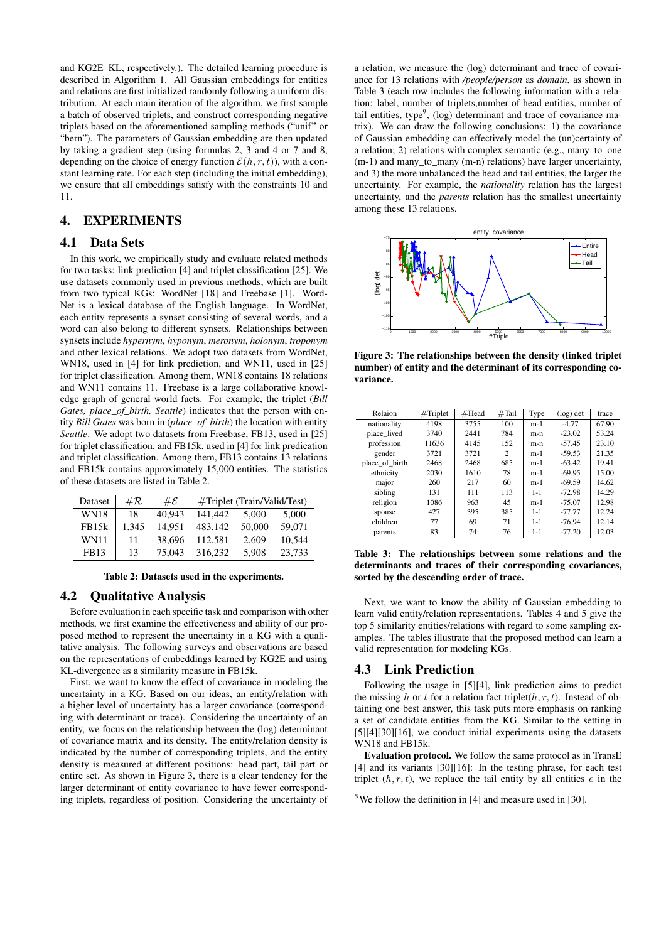and KG2E\_KL, respectively.). The detailed learning procedure is described in Algorithm 1. All Gaussian embeddings for entities and relations are first initialized randomly following a uniform distribution. At each main iteration of the algorithm, we first sample a batch of observed triplets, and construct corresponding negative triplets based on the aforementioned sampling methods ("unif" or "bern"). The parameters of Gaussian embedding are then updated by taking a gradient step (using formulas 2, 3 and 4 or 7 and 8, depending on the choice of energy function  $\mathcal{E}(h, r, t)$ ), with a constant learning rate. For each step (including the initial embedding), we ensure that all embeddings satisfy with the constraints 10 and 11.

## 4. EXPERIMENTS

## 4.1 Data Sets

In this work, we empirically study and evaluate related methods for two tasks: link prediction [4] and triplet classification [25]. We use datasets commonly used in previous methods, which are built from two typical KGs: WordNet [18] and Freebase [1]. Word-Net is a lexical database of the English language. In WordNet, each entity represents a synset consisting of several words, and a word can also belong to different synsets. Relationships between synsets include *hypernym*, *hyponym*, *meronym*, *holonym*, *troponym* and other lexical relations. We adopt two datasets from WordNet, WN18, used in [4] for link prediction, and WN11, used in [25] for triplet classification. Among them, WN18 contains 18 relations and WN11 contains 11. Freebase is a large collaborative knowledge graph of general world facts. For example, the triplet (*Bill Gates, place\_of\_birth, Seattle*) indicates that the person with entity *Bill Gates* was born in (*place\_of\_birth*) the location with entity *Seattle*. We adopt two datasets from Freebase, FB13, used in [25] for triplet classification, and FB15k, used in [4] for link predication and triplet classification. Among them, FB13 contains 13 relations and FB15k contains approximately 15,000 entities. The statistics of these datasets are listed in Table 2.

| Dataset     | # $\cal R$ | $\#\mathcal{E}$ | #Triplet (Train/Valid/Test) |        |        |  |  |
|-------------|------------|-----------------|-----------------------------|--------|--------|--|--|
| <b>WN18</b> | 18         | 40.943          | 141.442                     | 5.000  | 5.000  |  |  |
| FB15k       | 1.345      | 14.951          | 483.142                     | 50,000 | 59,071 |  |  |
| <b>WN11</b> | 11         | 38,696          | 112.581                     | 2.609  | 10.544 |  |  |
| FB13        | 13         | 75,043          | 316.232                     | 5.908  | 23.733 |  |  |

Table 2: Datasets used in the experiments.

## 4.2 Qualitative Analysis

Before evaluation in each specific task and comparison with other methods, we first examine the effectiveness and ability of our proposed method to represent the uncertainty in a KG with a qualitative analysis. The following surveys and observations are based on the representations of embeddings learned by KG2E and using KL-divergence as a similarity measure in FB15k.

First, we want to know the effect of covariance in modeling the uncertainty in a KG. Based on our ideas, an entity/relation with a higher level of uncertainty has a larger covariance (corresponding with determinant or trace). Considering the uncertainty of an entity, we focus on the relationship between the (log) determinant of covariance matrix and its density. The entity/relation density is indicated by the number of corresponding triplets, and the entity density is measured at different positions: head part, tail part or entire set. As shown in Figure 3, there is a clear tendency for the larger determinant of entity covariance to have fewer corresponding triplets, regardless of position. Considering the uncertainty of a relation, we measure the (log) determinant and trace of covariance for 13 relations with */people/person* as *domain*, as shown in Table 3 (each row includes the following information with a relation: label, number of triplets,number of head entities, number of tail entities, type<sup>9</sup>, (log) determinant and trace of covariance matrix). We can draw the following conclusions: 1) the covariance of Gaussian embedding can effectively model the (un)certainty of a relation; 2) relations with complex semantic (e.g., many\_to\_one (m-1) and many\_to\_many (m-n) relations) have larger uncertainty, and 3) the more unbalanced the head and tail entities, the larger the uncertainty. For example, the *nationality* relation has the largest uncertainty, and the *parents* relation has the smallest uncertainty among these 13 relations.



Figure 3: The relationships between the density (linked triplet number) of entity and the determinant of its corresponding covariance.

| Relaion        | #Triplet | $\#$ Head | #Tail | Type    | $(\log)$ det | trace |
|----------------|----------|-----------|-------|---------|--------------|-------|
| nationality    | 4198     | 3755      | 100   | $m-1$   | $-4.77$      | 67.90 |
| place lived    | 3740     | 2441      | 784   | $m-n$   | $-23.02$     | 53.24 |
| profession     | 11636    | 4145      | 152   | $m-n$   | $-57.45$     | 23.10 |
| gender         | 3721     | 3721      | 2     | $m-1$   | $-59.53$     | 21.35 |
| place of birth | 2468     | 2468      | 685   | $m-1$   | $-63.42$     | 19.41 |
| ethnicity      | 2030     | 1610      | 78    | $m-1$   | $-69.95$     | 15.00 |
| major          | 260      | 217       | 60    | $m-1$   | $-69.59$     | 14.62 |
| sibling        | 131      | 111       | 113   | $1 - 1$ | $-72.98$     | 14.29 |
| religion       | 1086     | 963       | 45    | $m-1$   | $-75.07$     | 12.98 |
| spouse         | 427      | 395       | 385   | $1 - 1$ | $-77.77$     | 12.24 |
| children       | 77       | 69        | 71    | $1 - 1$ | $-76.94$     | 12.14 |
| parents        | 83       | 74        | 76    | $1 - 1$ | $-77.20$     | 12.03 |
|                |          |           |       |         |              |       |

Table 3: The relationships between some relations and the determinants and traces of their corresponding covariances, sorted by the descending order of trace.

Next, we want to know the ability of Gaussian embedding to learn valid entity/relation representations. Tables 4 and 5 give the top 5 similarity entities/relations with regard to some sampling examples. The tables illustrate that the proposed method can learn a valid representation for modeling KGs.

#### 4.3 Link Prediction

Following the usage in [5][4], link prediction aims to predict the missing h or t for a relation fact triplet( $h, r, t$ ). Instead of obtaining one best answer, this task puts more emphasis on ranking a set of candidate entities from the KG. Similar to the setting in [5][4][30][16], we conduct initial experiments using the datasets WN18 and FB15k.

Evaluation protocol. We follow the same protocol as in TransE [4] and its variants [30][16]: In the testing phrase, for each test triplet  $(h, r, t)$ , we replace the tail entity by all entities e in the

<sup>&</sup>lt;sup>9</sup>We follow the definition in [4] and measure used in [30].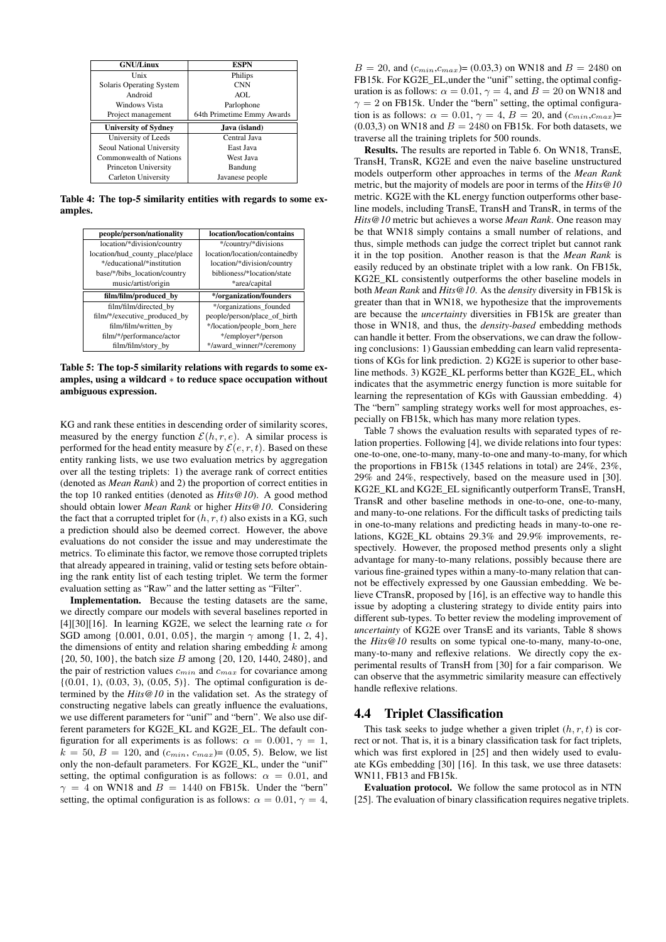| <b>GNU/Linux</b>            | <b>ESPN</b>                |
|-----------------------------|----------------------------|
| Unix                        | Philips                    |
| Solaris Operating System    | <b>CNN</b>                 |
| Android                     | AOL                        |
| Windows Vista               | Parlophone                 |
| Project management          | 64th Primetime Emmy Awards |
| <b>University of Sydney</b> | Java (island)              |
| University of Leeds         | Central Java               |
| Seoul National University   | East Java                  |
| Commonwealth of Nations     | West Java                  |
| Princeton University        | Bandung                    |
| Carleton University         | Javanese people            |

Table 4: The top-5 similarity entities with regards to some examples.

| people/person/nationality       | location/location/contains    |
|---------------------------------|-------------------------------|
| location/*division/country      | */country/*divisions          |
| location/hud_county_place/place | location/location/containedby |
| */educational/*institution      | location/*division/country    |
| base/*/bibs_location/country    | biblioness/*location/state    |
| music/artist/origin             | *area/capital                 |
|                                 |                               |
| film/film/produced by           | */organization/founders       |
| film/film/directed by           | */organizations_founded       |
| film/*/executive_produced_by    | people/person/place of birth  |
| film/film/written by            | */location/people_born_here   |
| film/*/performance/actor        | */employer*/person            |

Table 5: The top-5 similarity relations with regards to some examples, using a wildcard ∗ to reduce space occupation without ambiguous expression.

KG and rank these entities in descending order of similarity scores, measured by the energy function  $\mathcal{E}(h, r, e)$ . A similar process is performed for the head entity measure by  $\mathcal{E}(e, r, t)$ . Based on these entity ranking lists, we use two evaluation metrics by aggregation over all the testing triplets: 1) the average rank of correct entities (denoted as *Mean Rank*) and 2) the proportion of correct entities in the top 10 ranked entities (denoted as *Hits@10*). A good method should obtain lower *Mean Rank* or higher *Hits@10*. Considering the fact that a corrupted triplet for  $(h, r, t)$  also exists in a KG, such a prediction should also be deemed correct. However, the above evaluations do not consider the issue and may underestimate the metrics. To eliminate this factor, we remove those corrupted triplets that already appeared in training, valid or testing sets before obtaining the rank entity list of each testing triplet. We term the former evaluation setting as "Raw" and the latter setting as "Filter".

Implementation. Because the testing datasets are the same, we directly compare our models with several baselines reported in [4][30][16]. In learning KG2E, we select the learning rate  $\alpha$  for SGD among  $\{0.001, 0.01, 0.05\}$ , the margin  $\gamma$  among  $\{1, 2, 4\}$ , the dimensions of entity and relation sharing embedding  $k$  among  $\{20, 50, 100\}$ , the batch size B among  $\{20, 120, 1440, 2480\}$ , and the pair of restriction values  $c_{min}$  and  $c_{max}$  for covariance among  $\{(0.01, 1), (0.03, 3), (0.05, 5)\}.$  The optimal configuration is determined by the *Hits@10* in the validation set. As the strategy of constructing negative labels can greatly influence the evaluations, we use different parameters for "unif" and "bern". We also use different parameters for KG2E\_KL and KG2E\_EL. The default configuration for all experiments is as follows:  $\alpha = 0.001$ ,  $\gamma = 1$ ,  $k = 50$ ,  $B = 120$ , and  $(c_{min}, c_{max}) = (0.05, 5)$ . Below, we list only the non-default parameters. For KG2E\_KL, under the "unif" setting, the optimal configuration is as follows:  $\alpha = 0.01$ , and  $\gamma = 4$  on WN18 and  $B = 1440$  on FB15k. Under the "bern" setting, the optimal configuration is as follows:  $\alpha = 0.01$ ,  $\gamma = 4$ ,

 $B = 20$ , and  $(c_{min}, c_{max}) = (0.03, 3)$  on WN18 and  $B = 2480$  on FB15k. For KG2E\_EL,under the "unif" setting, the optimal configuration is as follows:  $\alpha = 0.01$ ,  $\gamma = 4$ , and  $B = 20$  on WN18 and  $\gamma = 2$  on FB15k. Under the "bern" setting, the optimal configuration is as follows:  $\alpha = 0.01$ ,  $\gamma = 4$ ,  $B = 20$ , and  $(c_{min}, c_{max})$ =  $(0.03,3)$  on WN18 and  $B = 2480$  on FB15k. For both datasets, we traverse all the training triplets for 500 rounds.

Results. The results are reported in Table 6. On WN18, TransE, TransH, TransR, KG2E and even the naive baseline unstructured models outperform other approaches in terms of the *Mean Rank* metric, but the majority of models are poor in terms of the *Hits@10* metric. KG2E with the KL energy function outperforms other baseline models, including TransE, TransH and TransR, in terms of the *Hits@10* metric but achieves a worse *Mean Rank*. One reason may be that WN18 simply contains a small number of relations, and thus, simple methods can judge the correct triplet but cannot rank it in the top position. Another reason is that the *Mean Rank* is easily reduced by an obstinate triplet with a low rank. On FB15k, KG2E\_KL consistently outperforms the other baseline models in both *Mean Rank* and *Hits@10*. As the *density* diversity in FB15k is greater than that in WN18, we hypothesize that the improvements are because the *uncertainty* diversities in FB15k are greater than those in WN18, and thus, the *density-based* embedding methods can handle it better. From the observations, we can draw the following conclusions: 1) Gaussian embedding can learn valid representations of KGs for link prediction. 2) KG2E is superior to other baseline methods. 3) KG2E\_KL performs better than KG2E\_EL, which indicates that the asymmetric energy function is more suitable for learning the representation of KGs with Gaussian embedding. 4) The "bern" sampling strategy works well for most approaches, especially on FB15k, which has many more relation types.

Table 7 shows the evaluation results with separated types of relation properties. Following [4], we divide relations into four types: one-to-one, one-to-many, many-to-one and many-to-many, for which the proportions in FB15k (1345 relations in total) are 24%, 23%, 29% and 24%, respectively, based on the measure used in [30]. KG2E\_KL and KG2E\_EL significantly outperform TransE, TransH, TransR and other baseline methods in one-to-one, one-to-many, and many-to-one relations. For the difficult tasks of predicting tails in one-to-many relations and predicting heads in many-to-one relations, KG2E\_KL obtains 29.3% and 29.9% improvements, respectively. However, the proposed method presents only a slight advantage for many-to-many relations, possibly because there are various fine-grained types within a many-to-many relation that cannot be effectively expressed by one Gaussian embedding. We believe CTransR, proposed by [16], is an effective way to handle this issue by adopting a clustering strategy to divide entity pairs into different sub-types. To better review the modeling improvement of *uncertainty* of KG2E over TransE and its variants, Table 8 shows the *Hits@10* results on some typical one-to-many, many-to-one, many-to-many and reflexive relations. We directly copy the experimental results of TransH from [30] for a fair comparison. We can observe that the asymmetric similarity measure can effectively handle reflexive relations.

## 4.4 Triplet Classification

This task seeks to judge whether a given triplet  $(h, r, t)$  is correct or not. That is, it is a binary classification task for fact triplets, which was first explored in [25] and then widely used to evaluate KGs embedding [30] [16]. In this task, we use three datasets: WN11, FB13 and FB15k.

Evaluation protocol. We follow the same protocol as in NTN [25]. The evaluation of binary classification requires negative triplets.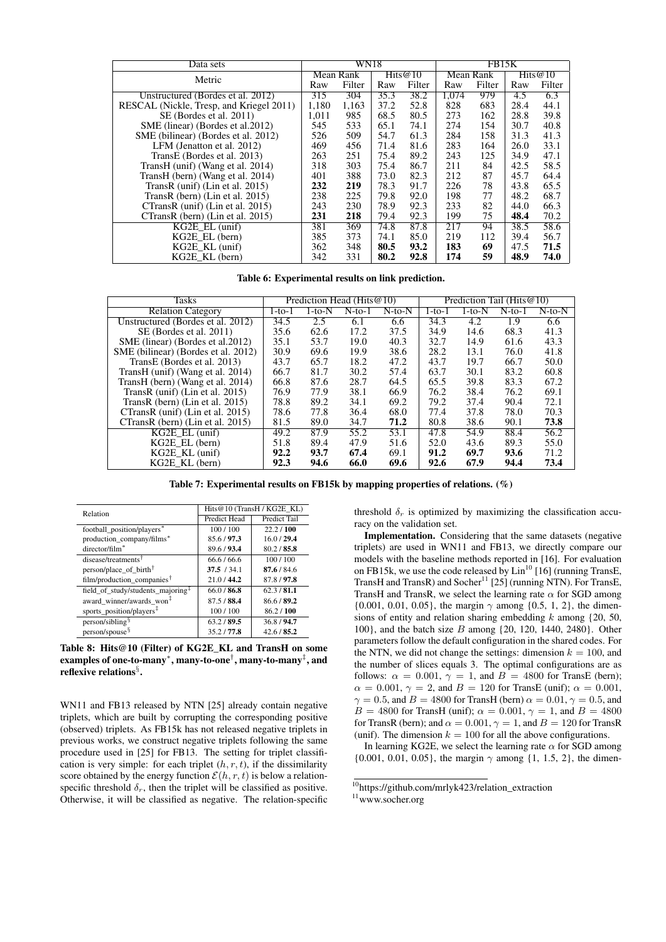| Data sets                                |           | WN18   |            |        |           | FB15K  |            |        |  |
|------------------------------------------|-----------|--------|------------|--------|-----------|--------|------------|--------|--|
| Metric                                   | Mean Rank |        | Hits $@10$ |        | Mean Rank |        | Hits $@10$ |        |  |
|                                          |           | Filter | Raw        | Filter | Raw       | Filter | Raw        | Filter |  |
| Unstructured (Bordes et al. 2012)        | 315       | 304    | 35.3       | 38.2   | 1,074     | 979    | 4.5        | 6.3    |  |
| RESCAL (Nickle, Tresp, and Kriegel 2011) | 1.180     | 1.163  | 37.2       | 52.8   | 828       | 683    | 28.4       | 44.1   |  |
| SE (Bordes et al. 2011)                  | 1.011     | 985    | 68.5       | 80.5   | 273       | 162    | 28.8       | 39.8   |  |
| SME (linear) (Bordes et al. 2012)        | 545       | 533    | 65.1       | 74.1   | 274       | 154    | 30.7       | 40.8   |  |
| SME (bilinear) (Bordes et al. 2012)      | 526       | 509    | 54.7       | 61.3   | 284       | 158    | 31.3       | 41.3   |  |
| LFM (Jenatton et al. 2012)               | 469       | 456    | 71.4       | 81.6   | 283       | 164    | 26.0       | 33.1   |  |
| TransE (Bordes et al. 2013)              | 263       | 251    | 75.4       | 89.2   | 243       | 125    | 34.9       | 47.1   |  |
| TransH (unif) (Wang et al. 2014)         | 318       | 303    | 75.4       | 86.7   | 211       | 84     | 42.5       | 58.5   |  |
| TransH (bern) (Wang et al. 2014)         | 401       | 388    | 73.0       | 82.3   | 212       | 87     | 45.7       | 64.4   |  |
| TransR (unif) (Lin et al. $2015$ )       | 232       | 219    | 78.3       | 91.7   | 226       | 78     | 43.8       | 65.5   |  |
| TransR (bern) (Lin et al. $2015$ )       | 238       | 225    | 79.8       | 92.0   | 198       | 77     | 48.2       | 68.7   |  |
| CTransR (unif) (Lin et al. 2015)         | 243       | 230    | 78.9       | 92.3   | 233       | 82     | 44.0       | 66.3   |  |
| CTransR (bern) (Lin et al. 2015)         | 231       | 218    | 79.4       | 92.3   | 199       | 75     | 48.4       | 70.2   |  |
| $KG2E$ EL (unif)                         | 381       | 369    | 74.8       | 87.8   | 217       | 94     | 38.5       | 58.6   |  |
| KG2E EL (bern)                           | 385       | 373    | 74.1       | 85.0   | 219       | 112    | 39.4       | 56.7   |  |
| KG2E KL (unif)                           | 362       | 348    | 80.5       | 93.2   | 183       | 69     | 47.5       | 71.5   |  |
| KG2E KL (bern)                           | 342       | 331    | 80.2       | 92.8   | 174       | 59     | 48.9       | 74.0   |  |

Table 6: Experimental results on link prediction.

| Tasks                               |        |          | Prediction Head (Hits@10) |              |        | Prediction Tail (Hits@10) |          |              |
|-------------------------------------|--------|----------|---------------------------|--------------|--------|---------------------------|----------|--------------|
| <b>Relation Category</b>            | 1-to-1 | $1-to-N$ | $N$ -to-1                 | $N$ -to- $N$ | 1-to-1 | 1-to-N                    | $N-to-1$ | $N$ -to- $N$ |
| Unstructured (Bordes et al. 2012)   | 34.5   | 2.5      | 6.1                       | 6.6          | 34.3   | 4.2                       | 1.9      | 6.6          |
| SE (Bordes et al. 2011)             | 35.6   | 62.6     | 17.2                      | 37.5         | 34.9   | 14.6                      | 68.3     | 41.3         |
| SME (linear) (Bordes et al. 2012)   | 35.1   | 53.7     | 19.0                      | 40.3         | 32.7   | 14.9                      | 61.6     | 43.3         |
| SME (bilinear) (Bordes et al. 2012) | 30.9   | 69.6     | 19.9                      | 38.6         | 28.2   | 13.1                      | 76.0     | 41.8         |
| TransE (Bordes et al. 2013)         | 43.7   | 65.7     | 18.2                      | 47.2         | 43.7   | 19.7                      | 66.7     | 50.0         |
| TransH (unif) (Wang et al. 2014)    | 66.7   | 81.7     | 30.2                      | 57.4         | 63.7   | 30.1                      | 83.2     | 60.8         |
| TransH (bern) (Wang et al. 2014)    | 66.8   | 87.6     | 28.7                      | 64.5         | 65.5   | 39.8                      | 83.3     | 67.2         |
| TransR (unif) (Lin et al. $2015$ )  | 76.9   | 77.9     | 38.1                      | 66.9         | 76.2   | 38.4                      | 76.2     | 69.1         |
| TransR (bern) (Lin et al. $2015$ )  | 78.8   | 89.2     | 34.1                      | 69.2         | 79.2   | 37.4                      | 90.4     | 72.1         |
| CTransR (unif) (Lin et al. 2015)    | 78.6   | 77.8     | 36.4                      | 68.0         | 77.4   | 37.8                      | 78.0     | 70.3         |
| CTransR (bern) (Lin et al. 2015)    | 81.5   | 89.0     | 34.7                      | 71.2         | 80.8   | 38.6                      | 90.1     | 73.8         |
| $KG2E$ EL (unif)                    | 49.2   | 87.9     | 55.2                      | 53.1         | 47.8   | 54.9                      | 88.4     | 56.2         |
| $KG2E$ EL (bern)                    | 51.8   | 89.4     | 47.9                      | 51.6         | 52.0   | 43.6                      | 89.3     | 55.0         |
| $KG2E$ KL (unif)                    | 92.2   | 93.7     | 67.4                      | 69.1         | 91.2   | 69.7                      | 93.6     | 71.2         |
| $KG2E$ KL (bern)                    | 92.3   | 94.6     | 66.0                      | 69.6         | 92.6   | 67.9                      | 94.4     | 73.4         |

Table 7: Experimental results on FB15k by mapping properties of relations. (%)

| Relation                                      | Hits@10 (TransH / KG2E KL) |              |  |  |  |
|-----------------------------------------------|----------------------------|--------------|--|--|--|
|                                               | Predict Head               | Predict Tail |  |  |  |
| football position/players*                    | 100/100                    | 22.2/100     |  |  |  |
| production_company/films*                     | 85.6/97.3                  | 16.0 / 29.4  |  |  |  |
| director/film <sup>*</sup>                    | 89.6/93.4                  | 80.2 / 85.8  |  |  |  |
| disease/treatments <sup>T</sup>               | 66.6 / 66.6                | 100/100      |  |  |  |
| person/place_of_birth <sup>†</sup>            | 37.5 / 34.1                | 87.6 / 84.6  |  |  |  |
| film/production_companies <sup>†</sup>        | 21.0 / 44.2                | 87.8/97.8    |  |  |  |
| field_of_study/students_majoring <sup>‡</sup> | 66.0 / 86.8                | 62.3/81.1    |  |  |  |
| award winner/awards won <sup>‡</sup>          | 87.5/88.4                  | 86.6 / 89.2  |  |  |  |
| sports position/players <sup>‡</sup>          | 100/100                    | 86.2 / 100   |  |  |  |
| $person/sibling$ <sup>§</sup>                 | 63.2 / 89.5                | 36.8/94.7    |  |  |  |
| person/spouse <sup>§</sup>                    | 35.2/77.8                  | 42.6/85.2    |  |  |  |

Table 8: Hits@10 (Filter) of KG2E\_KL and TransH on some examples of one-to-many\*, many-to-one $^\dagger$ , many-to-many $^\ddag$ , and reflexive relations $^\S.$ 

WN11 and FB13 released by NTN [25] already contain negative triplets, which are built by corrupting the corresponding positive (observed) triplets. As FB15k has not released negative triplets in previous works, we construct negative triplets following the same procedure used in [25] for FB13. The setting for triplet classification is very simple: for each triplet  $(h, r, t)$ , if the dissimilarity score obtained by the energy function  $\mathcal{E}(h, r, t)$  is below a relationspecific threshold  $\delta_r$ , then the triplet will be classified as positive. Otherwise, it will be classified as negative. The relation-specific threshold  $\delta_r$  is optimized by maximizing the classification accuracy on the validation set.

Implementation. Considering that the same datasets (negative triplets) are used in WN11 and FB13, we directly compare our models with the baseline methods reported in [16]. For evaluation on FB15k, we use the code released by  $Lin^{10}$  [16] (running TransE, TransH and TransR) and Socher<sup>11</sup> [25] (running NTN). For TransE, TransH and TransR, we select the learning rate  $\alpha$  for SGD among {0.001, 0.01, 0.05}, the margin  $\gamma$  among {0.5, 1, 2}, the dimensions of entity and relation sharing embedding  $k$  among  $\{20, 50,$ 100}, and the batch size B among {20, 120, 1440, 2480}. Other parameters follow the default configuration in the shared codes. For the NTN, we did not change the settings: dimension  $k = 100$ , and the number of slices equals 3. The optimal configurations are as follows:  $\alpha = 0.001$ ,  $\gamma = 1$ , and  $B = 4800$  for TransE (bern);  $\alpha = 0.001$ ,  $\gamma = 2$ , and  $B = 120$  for TransE (unif);  $\alpha = 0.001$ ,  $\gamma = 0.5$ , and  $B = 4800$  for TransH (bern)  $\alpha = 0.01$ ,  $\gamma = 0.5$ , and  $B = 4800$  for TransH (unif);  $\alpha = 0.001$ ,  $\gamma = 1$ , and  $B = 4800$ for TransR (bern); and  $\alpha = 0.001$ ,  $\gamma = 1$ , and  $B = 120$  for TransR (unif). The dimension  $k = 100$  for all the above configurations.

In learning KG2E, we select the learning rate  $\alpha$  for SGD among {0.001, 0.01, 0.05}, the margin  $\gamma$  among {1, 1.5, 2}, the dimen-

<sup>10</sup>https://github.com/mrlyk423/relation\_extraction

<sup>11</sup>www.socher.org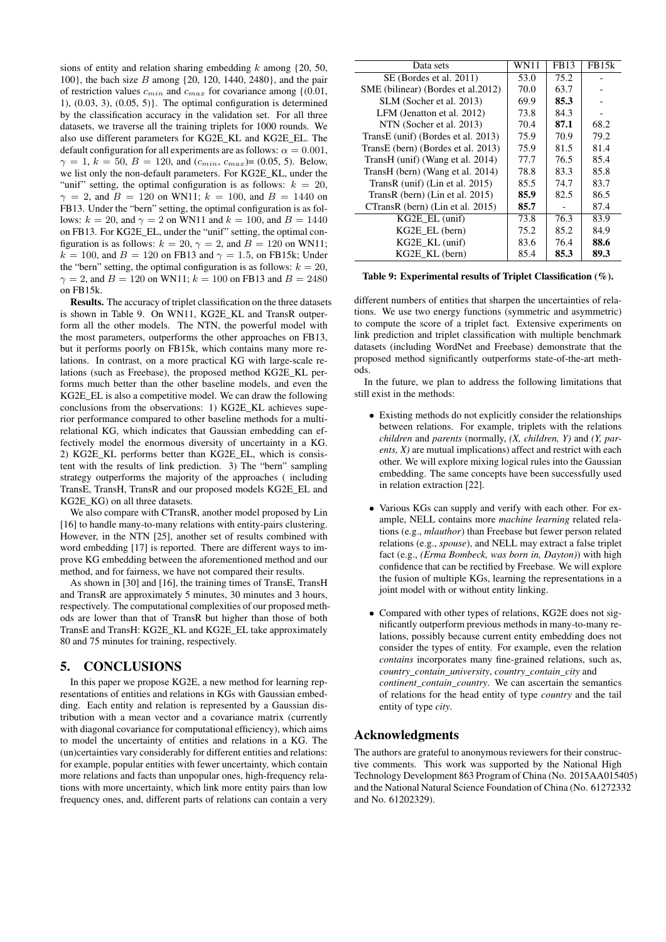sions of entity and relation sharing embedding  $k$  among  $\{20, 50,$ 100}, the bach size B among {20, 120, 1440, 2480}, and the pair of restriction values  $c_{min}$  and  $c_{max}$  for covariance among {(0.01, 1),  $(0.03, 3)$ ,  $(0.05, 5)$ . The optimal configuration is determined by the classification accuracy in the validation set. For all three datasets, we traverse all the training triplets for 1000 rounds. We also use different parameters for KG2E\_KL and KG2E\_EL. The default configuration for all experiments are as follows:  $\alpha = 0.001$ ,  $\gamma = 1, k = 50, B = 120, \text{ and } (c_{min}, c_{max}) = (0.05, 5)$ . Below, we list only the non-default parameters. For KG2E\_KL, under the "unif" setting, the optimal configuration is as follows:  $k = 20$ ,  $\gamma = 2$ , and  $B = 120$  on WN11;  $k = 100$ , and  $B = 1440$  on FB13. Under the "bern" setting, the optimal configuration is as follows:  $k = 20$ , and  $\gamma = 2$  on WN11 and  $k = 100$ , and  $B = 1440$ on FB13. For KG2E\_EL, under the "unif" setting, the optimal configuration is as follows:  $k = 20$ ,  $\gamma = 2$ , and  $B = 120$  on WN11;  $k = 100$ , and  $B = 120$  on FB13 and  $\gamma = 1.5$ , on FB15k; Under the "bern" setting, the optimal configuration is as follows:  $k = 20$ .  $\gamma = 2$ , and  $B = 120$  on WN11;  $k = 100$  on FB13 and  $B = 2480$ on FB15k.

Results. The accuracy of triplet classification on the three datasets is shown in Table 9. On WN11, KG2E\_KL and TransR outperform all the other models. The NTN, the powerful model with the most parameters, outperforms the other approaches on FB13, but it performs poorly on FB15k, which contains many more relations. In contrast, on a more practical KG with large-scale relations (such as Freebase), the proposed method KG2E\_KL performs much better than the other baseline models, and even the KG2E\_EL is also a competitive model. We can draw the following conclusions from the observations: 1) KG2E\_KL achieves superior performance compared to other baseline methods for a multirelational KG, which indicates that Gaussian embedding can effectively model the enormous diversity of uncertainty in a KG. 2) KG2E\_KL performs better than KG2E\_EL, which is consistent with the results of link prediction. 3) The "bern" sampling strategy outperforms the majority of the approaches ( including TransE, TransH, TransR and our proposed models KG2E\_EL and KG2E\_KG) on all three datasets.

We also compare with CTransR, another model proposed by Lin [16] to handle many-to-many relations with entity-pairs clustering. However, in the NTN [25], another set of results combined with word embedding [17] is reported. There are different ways to improve KG embedding between the aforementioned method and our method, and for fairness, we have not compared their results.

As shown in [30] and [16], the training times of TransE, TransH and TransR are approximately 5 minutes, 30 minutes and 3 hours, respectively. The computational complexities of our proposed methods are lower than that of TransR but higher than those of both TransE and TransH: KG2E\_KL and KG2E\_EL take approximately 80 and 75 minutes for training, respectively.

## 5. CONCLUSIONS

In this paper we propose KG2E, a new method for learning representations of entities and relations in KGs with Gaussian embedding. Each entity and relation is represented by a Gaussian distribution with a mean vector and a covariance matrix (currently with diagonal covariance for computational efficiency), which aims to model the uncertainty of entities and relations in a KG. The (un)certainties vary considerably for different entities and relations: for example, popular entities with fewer uncertainty, which contain more relations and facts than unpopular ones, high-frequency relations with more uncertainty, which link more entity pairs than low frequency ones, and, different parts of relations can contain a very

| Data sets                           | WN11 | <b>FB13</b> | FB <sub>15</sub> k |
|-------------------------------------|------|-------------|--------------------|
| SE (Bordes et al. 2011)             | 53.0 | 75.2        |                    |
| SME (bilinear) (Bordes et al. 2012) | 70.0 | 63.7        |                    |
| SLM (Socher et al. 2013)            | 69.9 | 85.3        |                    |
| LFM (Jenatton et al. 2012)          | 73.8 | 84.3        |                    |
| NTN (Socher et al. 2013)            | 70.4 | 87.1        | 68.2               |
| TransE (unif) (Bordes et al. 2013)  | 75.9 | 70.9        | 79.2               |
| TransE (bern) (Bordes et al. 2013)  | 75.9 | 81.5        | 81.4               |
| TransH (unif) (Wang et al. 2014)    | 77.7 | 76.5        | 85.4               |
| TransH (bern) (Wang et al. 2014)    | 78.8 | 83.3        | 85.8               |
| TransR (unif) (Lin et al. 2015)     | 85.5 | 74.7        | 83.7               |
| TransR (bern) (Lin et al. $2015$ )  | 85.9 | 82.5        | 86.5               |
| CTransR (bern) (Lin et al. 2015)    | 85.7 |             | 87.4               |
| $KG2E$ EL (unif)                    | 73.8 | 76.3        | 83.9               |
| KG2E EL (bern)                      | 75.2 | 85.2        | 84.9               |
| $KG2E$ KL (unif)                    | 83.6 | 76.4        | 88.6               |
| KG2E KL (bern)                      | 85.4 | 85.3        | 89.3               |

#### Table 9: Experimental results of Triplet Classification (%).

different numbers of entities that sharpen the uncertainties of relations. We use two energy functions (symmetric and asymmetric) to compute the score of a triplet fact. Extensive experiments on link prediction and triplet classification with multiple benchmark datasets (including WordNet and Freebase) demonstrate that the proposed method significantly outperforms state-of-the-art methods.

In the future, we plan to address the following limitations that still exist in the methods:

- Existing methods do not explicitly consider the relationships between relations. For example, triplets with the relations *children* and *parents* (normally, *(X, children, Y)* and *(Y, parents, X)* are mutual implications) affect and restrict with each other. We will explore mixing logical rules into the Gaussian embedding. The same concepts have been successfully used in relation extraction [22].
- Various KGs can supply and verify with each other. For example, NELL contains more *machine learning* related relations (e.g., *mlauthor*) than Freebase but fewer person related relations (e.g., *spouse*), and NELL may extract a false triplet fact (e.g., *(Erma Bombeck, was born in, Dayton)*) with high confidence that can be rectified by Freebase. We will explore the fusion of multiple KGs, learning the representations in a joint model with or without entity linking.
- Compared with other types of relations, KG2E does not significantly outperform previous methods in many-to-many relations, possibly because current entity embedding does not consider the types of entity. For example, even the relation *contains* incorporates many fine-grained relations, such as, *country\_contain\_university*, *country\_contain\_city* and *continent\_contain\_country*. We can ascertain the semantics of relations for the head entity of type *country* and the tail entity of type *city*.

## Acknowledgments

The authors are grateful to anonymous reviewers for their constructive comments. This work was supported by the National High Technology Development 863 Program of China (No. 2015AA015405) and the National Natural Science Foundation of China (No. 61272332 and No. 61202329).